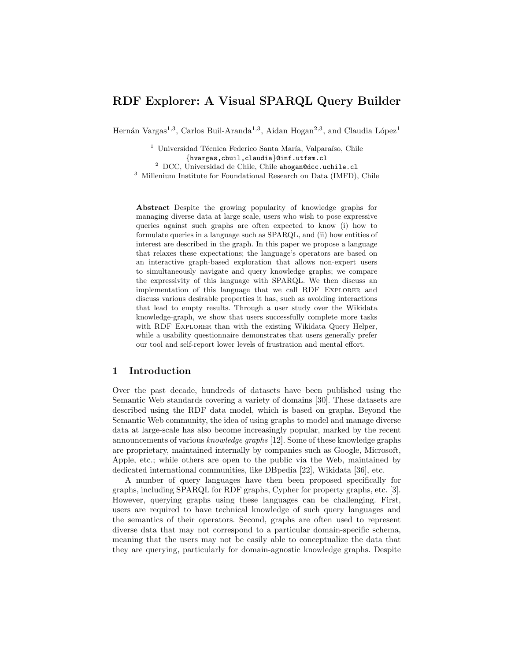# RDF Explorer: A Visual SPARQL Query Builder

Hernán Vargas<sup>1,3</sup>, Carlos Buil-Aranda<sup>1,3</sup>, Aidan Hogan<sup>2,3</sup>, and Claudia López<sup>1</sup>

<sup>1</sup> Universidad Técnica Federico Santa María, Valparaíso, Chile {hvargas,cbuil,claudia}@inf.utfsm.cl

<sup>2</sup> DCC, Universidad de Chile, Chile ahogan@dcc.uchile.cl

<sup>3</sup> Millenium Institute for Foundational Research on Data (IMFD), Chile

Abstract Despite the growing popularity of knowledge graphs for managing diverse data at large scale, users who wish to pose expressive queries against such graphs are often expected to know (i) how to formulate queries in a language such as SPARQL, and (ii) how entities of interest are described in the graph. In this paper we propose a language that relaxes these expectations; the language's operators are based on an interactive graph-based exploration that allows non-expert users to simultaneously navigate and query knowledge graphs; we compare the expressivity of this language with SPARQL. We then discuss an implementation of this language that we call RDF Explorer and discuss various desirable properties it has, such as avoiding interactions that lead to empty results. Through a user study over the Wikidata knowledge-graph, we show that users successfully complete more tasks with RDF EXPLORER than with the existing Wikidata Query Helper, while a usability questionnaire demonstrates that users generally prefer our tool and self-report lower levels of frustration and mental effort.

### 1 Introduction

Over the past decade, hundreds of datasets have been published using the Semantic Web standards covering a variety of domains [\[30\]](#page-16-0). These datasets are described using the RDF data model, which is based on graphs. Beyond the Semantic Web community, the idea of using graphs to model and manage diverse data at large-scale has also become increasingly popular, marked by the recent announcements of various knowledge graphs [\[12\]](#page-15-0). Some of these knowledge graphs are proprietary, maintained internally by companies such as Google, Microsoft, Apple, etc.; while others are open to the public via the Web, maintained by dedicated international communities, like DBpedia [\[22\]](#page-16-1), Wikidata [\[36\]](#page-16-2), etc.

A number of query languages have then been proposed specifically for graphs, including SPARQL for RDF graphs, Cypher for property graphs, etc. [\[3\]](#page-14-0). However, querying graphs using these languages can be challenging. First, users are required to have technical knowledge of such query languages and the semantics of their operators. Second, graphs are often used to represent diverse data that may not correspond to a particular domain-specific schema, meaning that the users may not be easily able to conceptualize the data that they are querying, particularly for domain-agnostic knowledge graphs. Despite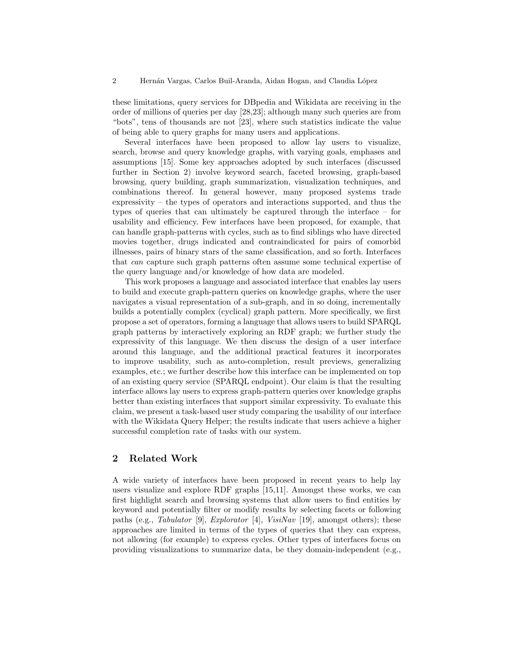these limitations, query services for DBpedia and Wikidata are receiving in the order of millions of queries per day [\[28,](#page-16-3)[23\]](#page-16-4); although many such queries are from "bots", tens of thousands are not [\[23\]](#page-16-4), where such statistics indicate the value of being able to query graphs for many users and applications.

Several interfaces have been proposed to allow lay users to visualize, search, browse and query knowledge graphs, with varying goals, emphases and assumptions [\[15\]](#page-15-1). Some key approaches adopted by such interfaces (discussed further in Section [2\)](#page-1-0) involve keyword search, faceted browsing, graph-based browsing, query building, graph summarization, visualization techniques, and combinations thereof. In general however, many proposed systems trade expressivity – the types of operators and interactions supported, and thus the types of queries that can ultimately be captured through the interface – for usability and efficiency. Few interfaces have been proposed, for example, that can handle graph-patterns with cycles, such as to find siblings who have directed movies together, drugs indicated and contraindicated for pairs of comorbid illnesses, pairs of binary stars of the same classification, and so forth. Interfaces that can capture such graph patterns often assume some technical expertise of the query language and/or knowledge of how data are modeled.

This work proposes a language and associated interface that enables lay users to build and execute graph-pattern queries on knowledge graphs, where the user navigates a visual representation of a sub-graph, and in so doing, incrementally builds a potentially complex (cyclical) graph pattern. More specifically, we first propose a set of operators, forming a language that allows users to build SPARQL graph patterns by interactively exploring an RDF graph; we further study the expressivity of this language. We then discuss the design of a user interface around this language, and the additional practical features it incorporates to improve usability, such as auto-completion, result previews, generalizing examples, etc.; we further describe how this interface can be implemented on top of an existing query service (SPARQL endpoint). Our claim is that the resulting interface allows lay users to express graph-pattern queries over knowledge graphs better than existing interfaces that support similar expressivity. To evaluate this claim, we present a task-based user study comparing the usability of our interface with the Wikidata Query Helper; the results indicate that users achieve a higher successful completion rate of tasks with our system.

### <span id="page-1-0"></span>2 Related Work

A wide variety of interfaces have been proposed in recent years to help lay users visualize and explore RDF graphs [\[15](#page-15-1)[,11\]](#page-15-2). Amongst these works, we can first highlight search and browsing systems that allow users to find entities by keyword and potentially filter or modify results by selecting facets or following paths (e.g., Tabulator [\[9\]](#page-15-3), Explorator [\[4\]](#page-15-4), VisiNav [\[19\]](#page-15-5), amongst others); these approaches are limited in terms of the types of queries that they can express, not allowing (for example) to express cycles. Other types of interfaces focus on providing visualizations to summarize data, be they domain-independent (e.g.,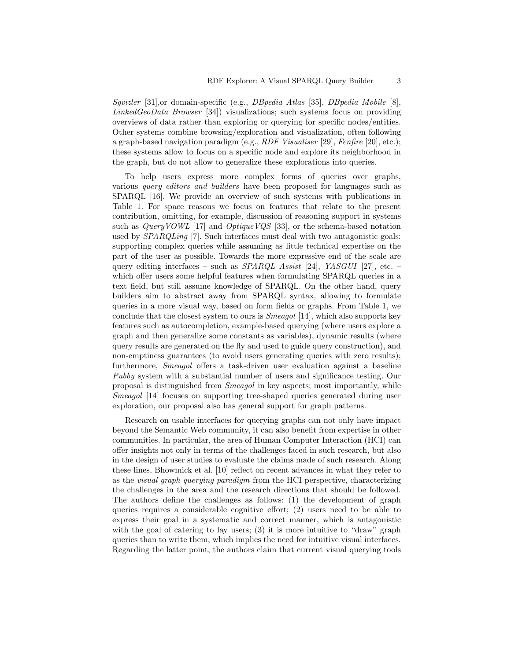Sgvizler [\[31\]](#page-16-5),or domain-specific (e.g., DBpedia Atlas [\[35\]](#page-16-6), DBpedia Mobile [\[8\]](#page-15-6), LinkedGeoData Browser [\[34\]](#page-16-7)) visualizations; such systems focus on providing overviews of data rather than exploring or querying for specific nodes/entities. Other systems combine browsing/exploration and visualization, often following a graph-based navigation paradigm (e.g., RDF Visualiser [\[29\]](#page-16-8), Fenfire [\[20\]](#page-15-7), etc.); these systems allow to focus on a specific node and explore its neighborhood in the graph, but do not allow to generalize these explorations into queries.

To help users express more complex forms of queries over graphs, various query editors and builders have been proposed for languages such as SPARQL [\[16\]](#page-15-8). We provide an overview of such systems with publications in Table [1.](#page-3-0) For space reasons we focus on features that relate to the present contribution, omitting, for example, discussion of reasoning support in systems such as  $QueryOWL$  [\[17\]](#page-15-9) and  $OptiqueVQS$  [\[33\]](#page-16-9), or the schema-based notation used by  $SPARQLing$  [\[7\]](#page-15-10). Such interfaces must deal with two antagonistic goals: supporting complex queries while assuming as little technical expertise on the part of the user as possible. Towards the more expressive end of the scale are query editing interfaces – such as  $SPARQL$  Assist [\[24\]](#page-16-10), YASGUI [\[27\]](#page-16-11), etc. – which offer users some helpful features when formulating SPARQL queries in a text field, but still assume knowledge of SPARQL. On the other hand, query builders aim to abstract away from SPARQL syntax, allowing to formulate queries in a more visual way, based on form fields or graphs. From Table [1,](#page-3-0) we conclude that the closest system to ours is Smeagol [\[14\]](#page-15-11), which also supports key features such as autocompletion, example-based querying (where users explore a graph and then generalize some constants as variables), dynamic results (where query results are generated on the fly and used to guide query construction), and non-emptiness guarantees (to avoid users generating queries with zero results); furthermore, Smeagol offers a task-driven user evaluation against a baseline Pubby system with a substantial number of users and significance testing. Our proposal is distinguished from Smeagol in key aspects; most importantly, while Smeagol [\[14\]](#page-15-11) focuses on supporting tree-shaped queries generated during user exploration, our proposal also has general support for graph patterns.

Research on usable interfaces for querying graphs can not only have impact beyond the Semantic Web community, it can also benefit from expertise in other communities. In particular, the area of Human Computer Interaction (HCI) can offer insights not only in terms of the challenges faced in such research, but also in the design of user studies to evaluate the claims made of such research. Along these lines, Bhowmick et al. [\[10\]](#page-15-12) reflect on recent advances in what they refer to as the visual graph querying paradigm from the HCI perspective, characterizing the challenges in the area and the research directions that should be followed. The authors define the challenges as follows: (1) the development of graph queries requires a considerable cognitive effort; (2) users need to be able to express their goal in a systematic and correct manner, which is antagonistic with the goal of catering to lay users; (3) it is more intuitive to "draw" graph queries than to write them, which implies the need for intuitive visual interfaces. Regarding the latter point, the authors claim that current visual querying tools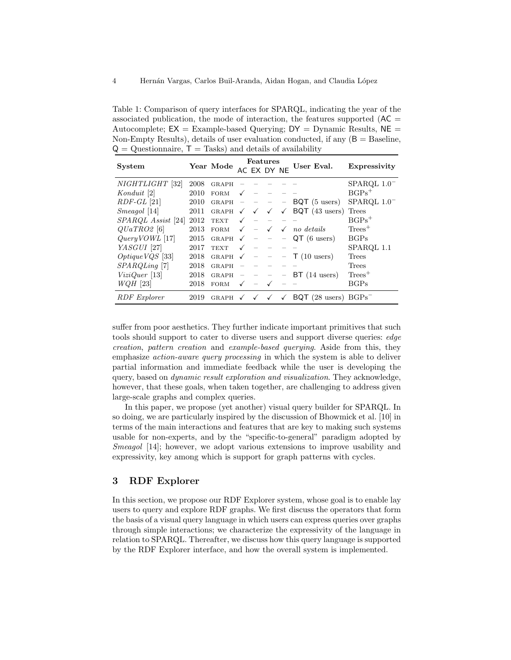<span id="page-3-0"></span>Table 1: Comparison of query interfaces for SPARQL, indicating the year of the associated publication, the mode of interaction, the features supported  $(AC =$ Autocomplete;  $EX = Example$ -based Querying;  $DY = Dynamic Results$ ,  $NE =$ Non-Empty Results), details of user evaluation conducted, if any  $(B = Baseline,$  $Q =$  Questionnaire,  $T =$  Tasks) and details of availability

| <b>System</b>        |      | Year Mode    |                                   |                           |              | Features<br>AC EX DY NE User Eval.        | Expressivity            |
|----------------------|------|--------------|-----------------------------------|---------------------------|--------------|-------------------------------------------|-------------------------|
| NIGHTLIGHT [32]      | 2008 | <b>GRAPH</b> |                                   |                           |              |                                           | $SPAROL 1.0^-$          |
| Konduit [2]          | 2010 | <b>FORM</b>  |                                   |                           |              |                                           | $BGPs^+$                |
| $RDF-GL$ [21]        | 2010 | GRAPH        | $\hspace{0.1cm}$ $\hspace{0.1cm}$ | $\equiv$ .                |              | $-$ - BQT (5 users)                       | SPARQL 1.0 <sup>-</sup> |
| $Smeagol$ [14]       | 2011 | GRAPH        |                                   | $\checkmark$ $\checkmark$ | $\checkmark$ | $\checkmark$ BQT (43 users)               | Trees                   |
| $SPARQL$ Assist [24] | 2012 | <b>TEXT</b>  | $\checkmark$                      |                           |              |                                           | $BGPs^+$                |
| $QUaTRO2$ [6]        | 2013 | <b>FORM</b>  | $\checkmark$                      | $\frac{1}{2}$             | $\checkmark$ | $\sqrt{ }$ no details                     | $Trees^+$               |
| $QueryVOWL$ [17]     | 2015 | GRAPH        | $\checkmark$                      | $\overline{\phantom{m}}$  |              | $ -$ QT (6 users)                         | BGPs                    |
| <i>YASGUI</i> [27]   | 2017 | <b>TEXT</b>  | $\checkmark$                      |                           |              |                                           | SPARQL 1.1              |
| $Optique VQS$ [33]   | 2018 | GRAPH        | $\checkmark$                      | $\overline{\phantom{m}}$  |              | $- - T (10$ users)                        | Trees                   |
| $SPARQLing$ [7]      | 2018 | <b>GRAPH</b> |                                   |                           |              |                                           | Trees                   |
| $ViziQuer$ [13]      | 2018 | GRAPH        | $\hspace{0.1cm}$ $\hspace{0.1cm}$ | $\overline{\phantom{m}}$  |              | $ -$ BT (14 users)                        | $Trees^+$               |
| $WQH$ [23]           | 2018 | <b>FORM</b>  |                                   |                           |              |                                           | BGPs                    |
| RDF Explorer         | 2019 | GRAPH        | $\checkmark$                      | $\checkmark$              | $\checkmark$ | $\sqrt{BQT}$ (28 users) BGPs <sup>-</sup> |                         |

suffer from poor aesthetics. They further indicate important primitives that such tools should support to cater to diverse users and support diverse queries: edge creation, pattern creation and example-based querying. Aside from this, they emphasize action-aware query processing in which the system is able to deliver partial information and immediate feedback while the user is developing the query, based on dynamic result exploration and visualization. They acknowledge, however, that these goals, when taken together, are challenging to address given large-scale graphs and complex queries.

In this paper, we propose (yet another) visual query builder for SPARQL. In so doing, we are particularly inspired by the discussion of Bhowmick et al. [\[10\]](#page-15-12) in terms of the main interactions and features that are key to making such systems usable for non-experts, and by the "specific-to-general" paradigm adopted by Smeagol [\[14\]](#page-15-11); however, we adopt various extensions to improve usability and expressivity, key among which is support for graph patterns with cycles.

### 3 RDF Explorer

In this section, we propose our RDF Explorer system, whose goal is to enable lay users to query and explore RDF graphs. We first discuss the operators that form the basis of a visual query language in which users can express queries over graphs through simple interactions; we characterize the expressivity of the language in relation to SPARQL. Thereafter, we discuss how this query language is supported by the RDF Explorer interface, and how the overall system is implemented.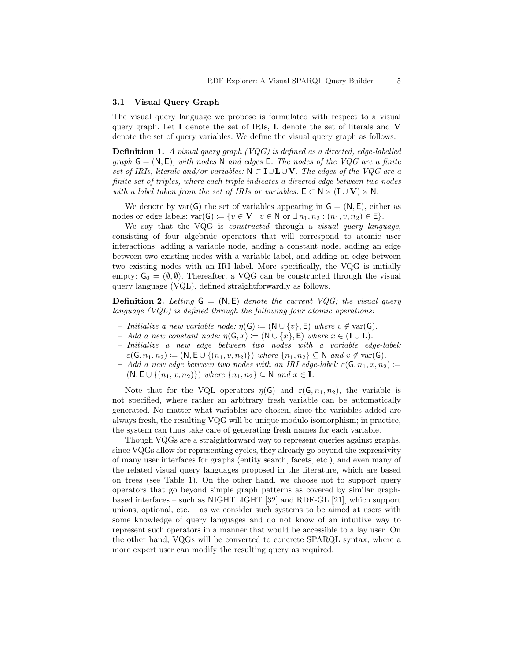#### 3.1 Visual Query Graph

The visual query language we propose is formulated with respect to a visual query graph. Let I denote the set of IRIs, L denote the set of literals and  $V$ denote the set of query variables. We define the visual query graph as follows.

Definition 1. A visual query graph (VQG) is defined as a directed, edge-labelled graph  $G = (N, E)$ , with nodes N and edges E. The nodes of the VQG are a finite set of IRIs, literals and/or variables:  $N \subset I \cup L \cup V$ . The edges of the VQG are a finite set of triples, where each triple indicates a directed edge between two nodes with a label taken from the set of IRIs or variables:  $E \subset N \times (I \cup V) \times N$ .

We denote by  $var(G)$  the set of variables appearing in  $G = (N, E)$ , either as nodes or edge labels:  $var(G) := \{v \in V \mid v \in N \text{ or } \exists n_1, n_2 : (n_1, v, n_2) \in E\}.$ 

We say that the VQG is *constructed* through a *visual query language*, consisting of four algebraic operators that will correspond to atomic user interactions: adding a variable node, adding a constant node, adding an edge between two existing nodes with a variable label, and adding an edge between two existing nodes with an IRI label. More specifically, the VQG is initially empty:  $G_0 = (\emptyset, \emptyset)$ . Thereafter, a VQG can be constructed through the visual query language (VQL), defined straightforwardly as follows.

**Definition 2.** Letting  $G = (N, E)$  denote the current VQG; the visual query language (VQL) is defined through the following four atomic operations:

- Initialize a new variable node:  $\eta(\mathsf{G}) \coloneqq (\mathsf{N} \cup \{v\}, \mathsf{E})$  where  $v \notin \text{var}(\mathsf{G})$ .
- Add a new constant node:  $\eta(\mathsf{G},x) := (\mathsf{N} \cup \{x\}, \mathsf{E})$  where  $x \in (\mathbf{I} \cup \mathbf{L})$ .
- Initialize a new edge between two nodes with a variable edge-label:  $\varepsilon(G, n_1, n_2) \coloneqq (N, \mathsf{E} \cup \{(n_1, v, n_2)\})$  where  $\{n_1, n_2\} \subseteq N$  and  $v \notin \text{var}(\mathsf{G})$ .
- Add a new edge between two nodes with an IRI edge-label:  $\varepsilon(\mathsf{G}, n_1, x, n_2) \coloneqq$  $(N, E \cup \{(n_1, x, n_2)\})$  where  $\{n_1, n_2\} \subseteq N$  and  $x \in I$ .

Note that for the VQL operators  $\eta(G)$  and  $\varepsilon(G, n_1, n_2)$ , the variable is not specified, where rather an arbitrary fresh variable can be automatically generated. No matter what variables are chosen, since the variables added are always fresh, the resulting VQG will be unique modulo isomorphism; in practice, the system can thus take care of generating fresh names for each variable.

Though VQGs are a straightforward way to represent queries against graphs, since VQGs allow for representing cycles, they already go beyond the expressivity of many user interfaces for graphs (entity search, facets, etc.), and even many of the related visual query languages proposed in the literature, which are based on trees (see Table [1\)](#page-3-0). On the other hand, we choose not to support query operators that go beyond simple graph patterns as covered by similar graphbased interfaces – such as NIGHTLIGHT [\[32\]](#page-16-12) and RDF-GL [\[21\]](#page-16-13), which support unions, optional, etc.  $-$  as we consider such systems to be aimed at users with some knowledge of query languages and do not know of an intuitive way to represent such operators in a manner that would be accessible to a lay user. On the other hand, VQGs will be converted to concrete SPARQL syntax, where a more expert user can modify the resulting query as required.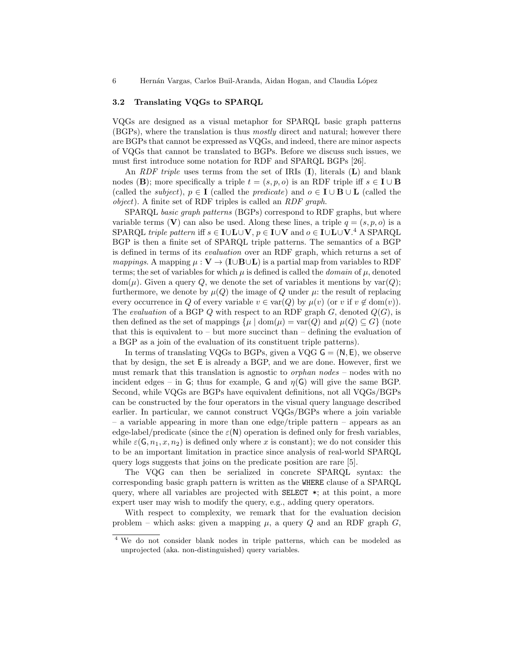6 Hernán Vargas, Carlos Buil-Aranda, Aidan Hogan, and Claudia López

#### 3.2 Translating VQGs to SPARQL

VQGs are designed as a visual metaphor for SPARQL basic graph patterns (BGPs), where the translation is thus mostly direct and natural; however there are BGPs that cannot be expressed as VQGs, and indeed, there are minor aspects of VQGs that cannot be translated to BGPs. Before we discuss such issues, we must first introduce some notation for RDF and SPARQL BGPs [\[26\]](#page-16-14).

An *RDF triple* uses terms from the set of IRIs  $(I)$ , literals  $(L)$  and blank nodes (B); more specifically a triple  $t = (s, p, o)$  is an RDF triple iff  $s \in I \cup B$ (called the *subject*),  $p \in I$  (called the *predicate*) and  $o \in I \cup B \cup L$  (called the object). A finite set of RDF triples is called an RDF graph.

SPARQL basic graph patterns (BGPs) correspond to RDF graphs, but where variable terms (V) can also be used. Along these lines, a triple  $q = (s, p, o)$  is a SPARQL triple pattern iff  $s \in I \cup L \cup V$ ,  $p \in I \cup V$  and  $o \in I \cup L \cup V$ .<sup>[4](#page-5-0)</sup> A SPARQL BGP is then a finite set of SPARQL triple patterns. The semantics of a BGP is defined in terms of its evaluation over an RDF graph, which returns a set of mappings. A mapping  $\mu : V \to (I \cup B \cup L)$  is a partial map from variables to RDF terms; the set of variables for which  $\mu$  is defined is called the *domain* of  $\mu$ , denoted  $dom(\mu)$ . Given a query Q, we denote the set of variables it mentions by var $(Q)$ ; furthermore, we denote by  $\mu(Q)$  the image of Q under  $\mu$ : the result of replacing every occurrence in Q of every variable  $v \in \text{var}(Q)$  by  $\mu(v)$  (or v if  $v \notin \text{dom}(v)$ ). The evaluation of a BGP Q with respect to an RDF graph  $G$ , denoted  $Q(G)$ , is then defined as the set of mappings  $\{\mu \mid \text{dom}(\mu) = \text{var}(Q) \text{ and } \mu(Q) \subseteq G\}$  (note that this is equivalent to – but more succinct than – defining the evaluation of a BGP as a join of the evaluation of its constituent triple patterns).

In terms of translating VQGs to BGPs, given a VQG  $G = (N, E)$ , we observe that by design, the set E is already a BGP, and we are done. However, first we must remark that this translation is agnostic to orphan nodes – nodes with no incident edges – in G; thus for example, G and  $\eta(G)$  will give the same BGP. Second, while VQGs are BGPs have equivalent definitions, not all VQGs/BGPs can be constructed by the four operators in the visual query language described earlier. In particular, we cannot construct VQGs/BGPs where a join variable  $-$  a variable appearing in more than one edge/triple pattern  $-$  appears as an edge-label/predicate (since the  $\varepsilon(N)$ ) operation is defined only for fresh variables, while  $\varepsilon(G, n_1, x, n_2)$  is defined only where x is constant); we do not consider this to be an important limitation in practice since analysis of real-world SPARQL query logs suggests that joins on the predicate position are rare [\[5\]](#page-15-15).

The VQG can then be serialized in concrete SPARQL syntax: the corresponding basic graph pattern is written as the WHERE clause of a SPARQL query, where all variables are projected with SELECT \*; at this point, a more expert user may wish to modify the query, e.g., adding query operators.

With respect to complexity, we remark that for the evaluation decision problem – which asks: given a mapping  $\mu$ , a query Q and an RDF graph G,

<span id="page-5-0"></span><sup>4</sup> We do not consider blank nodes in triple patterns, which can be modeled as unprojected (aka. non-distinguished) query variables.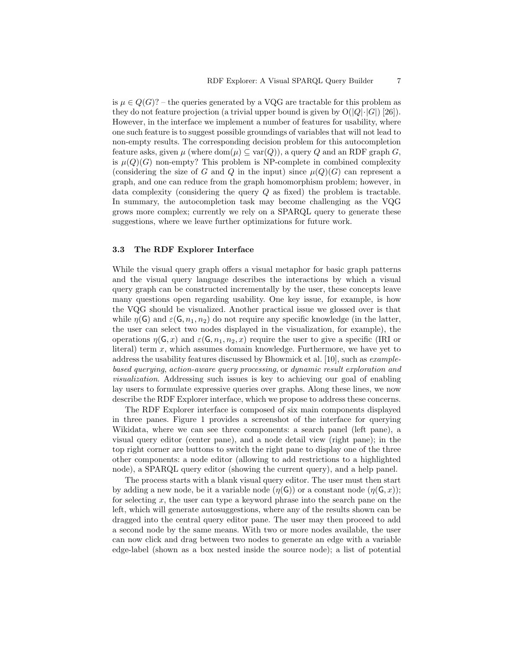is  $\mu \in Q(G)$ ? – the queries generated by a VQG are tractable for this problem as they do not feature projection (a trivial upper bound is given by  $O(|Q|\cdot|G|)$  [\[26\]](#page-16-14)). However, in the interface we implement a number of features for usability, where one such feature is to suggest possible groundings of variables that will not lead to non-empty results. The corresponding decision problem for this autocompletion feature asks, given  $\mu$  (where dom( $\mu$ )  $\subseteq$  var( $Q$ )), a query  $Q$  and an RDF graph  $G$ , is  $\mu(Q)(G)$  non-empty? This problem is NP-complete in combined complexity (considering the size of G and Q in the input) since  $\mu(Q)(G)$  can represent a graph, and one can reduce from the graph homomorphism problem; however, in data complexity (considering the query  $Q$  as fixed) the problem is tractable. In summary, the autocompletion task may become challenging as the VQG grows more complex; currently we rely on a SPARQL query to generate these suggestions, where we leave further optimizations for future work.

#### 3.3 The RDF Explorer Interface

While the visual query graph offers a visual metaphor for basic graph patterns and the visual query language describes the interactions by which a visual query graph can be constructed incrementally by the user, these concepts leave many questions open regarding usability. One key issue, for example, is how the VQG should be visualized. Another practical issue we glossed over is that while  $\eta(G)$  and  $\varepsilon(G, n_1, n_2)$  do not require any specific knowledge (in the latter, the user can select two nodes displayed in the visualization, for example), the operations  $\eta(\mathsf{G}, x)$  and  $\varepsilon(\mathsf{G}, n_1, n_2, x)$  require the user to give a specific (IRI or literal) term x, which assumes domain knowledge. Furthermore, we have yet to address the usability features discussed by Bhowmick et al. [\[10\]](#page-15-12), such as examplebased querying, action-aware query processing, or dynamic result exploration and visualization. Addressing such issues is key to achieving our goal of enabling lay users to formulate expressive queries over graphs. Along these lines, we now describe the RDF Explorer interface, which we propose to address these concerns.

The RDF Explorer interface is composed of six main components displayed in three panes. Figure [1](#page-7-0) provides a screenshot of the interface for querying Wikidata, where we can see three components: a search panel (left pane), a visual query editor (center pane), and a node detail view (right pane); in the top right corner are buttons to switch the right pane to display one of the three other components: a node editor (allowing to add restrictions to a highlighted node), a SPARQL query editor (showing the current query), and a help panel.

The process starts with a blank visual query editor. The user must then start by adding a new node, be it a variable node  $(\eta(\mathsf{G}))$  or a constant node  $(\eta(\mathsf{G},x))$ ; for selecting  $x$ , the user can type a keyword phrase into the search pane on the left, which will generate autosuggestions, where any of the results shown can be dragged into the central query editor pane. The user may then proceed to add a second node by the same means. With two or more nodes available, the user can now click and drag between two nodes to generate an edge with a variable edge-label (shown as a box nested inside the source node); a list of potential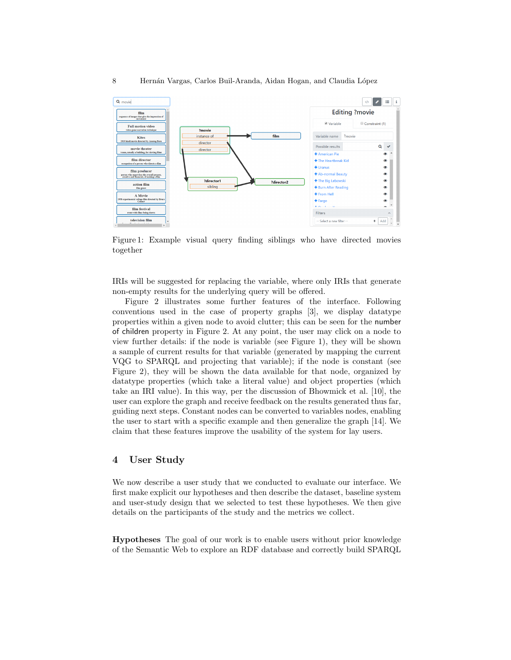<span id="page-7-0"></span>

Figure 1: Example visual query finding siblings who have directed movies together

IRIs will be suggested for replacing the variable, where only IRIs that generate non-empty results for the underlying query will be offered.

Figure [2](#page-8-0) illustrates some further features of the interface. Following conventions used in the case of property graphs [\[3\]](#page-14-0), we display datatype properties within a given node to avoid clutter; this can be seen for the number of children property in Figure [2.](#page-8-0) At any point, the user may click on a node to view further details: if the node is variable (see Figure [1\)](#page-7-0), they will be shown a sample of current results for that variable (generated by mapping the current VQG to SPARQL and projecting that variable); if the node is constant (see Figure [2\)](#page-8-0), they will be shown the data available for that node, organized by datatype properties (which take a literal value) and object properties (which take an IRI value). In this way, per the discussion of Bhowmick et al. [\[10\]](#page-15-12), the user can explore the graph and receive feedback on the results generated thus far, guiding next steps. Constant nodes can be converted to variables nodes, enabling the user to start with a specific example and then generalize the graph [\[14\]](#page-15-11). We claim that these features improve the usability of the system for lay users.

### <span id="page-7-1"></span>4 User Study

We now describe a user study that we conducted to evaluate our interface. We first make explicit our hypotheses and then describe the dataset, baseline system and user-study design that we selected to test these hypotheses. We then give details on the participants of the study and the metrics we collect.

Hypotheses The goal of our work is to enable users without prior knowledge of the Semantic Web to explore an RDF database and correctly build SPARQL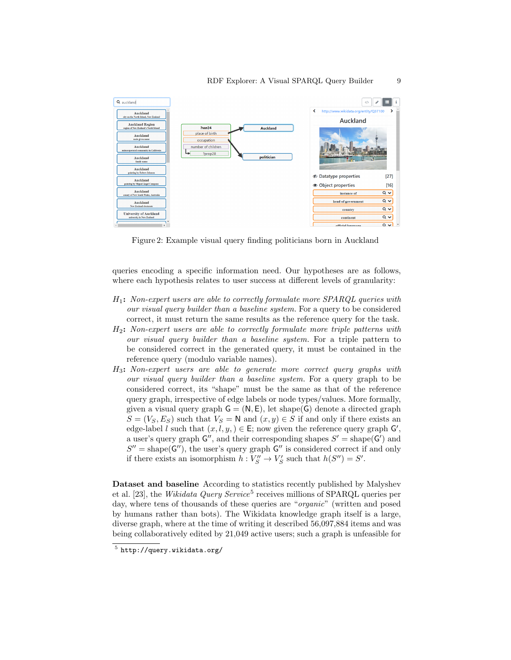<span id="page-8-0"></span>

Figure 2: Example visual query finding politicians born in Auckland

queries encoding a specific information need. Our hypotheses are as follows, where each hypothesis relates to user success at different levels of granularity:

- $H_1$ : Non-expert users are able to correctly formulate more SPARQL queries with our visual query builder than a baseline system. For a query to be considered correct, it must return the same results as the reference query for the task.
- $H_2$ : Non-expert users are able to correctly formulate more triple patterns with our visual query builder than a baseline system. For a triple pattern to be considered correct in the generated query, it must be contained in the reference query (modulo variable names).
- H3: Non-expert users are able to generate more correct query graphs with our visual query builder than a baseline system. For a query graph to be considered correct, its "shape" must be the same as that of the reference query graph, irrespective of edge labels or node types/values. More formally, given a visual query graph  $G = (N, E)$ , let shape(G) denote a directed graph  $S = (V_S, E_S)$  such that  $V_S = N$  and  $(x, y) \in S$  if and only if there exists an edge-label l such that  $(x, l, y) \in \mathsf{E}$ ; now given the reference query graph  $\mathsf{G}'$ , a user's query graph  $G''$ , and their corresponding shapes  $S' = \text{shape}(G')$  and  $S'' = \text{shape}(G'')$ , the user's query graph  $G''$  is considered correct if and only if there exists an isomorphism  $h: V''_S \to V'_S$  such that  $h(S'') = S'$ .

Dataset and baseline According to statistics recently published by Malyshev et al. [\[23\]](#page-16-4), the *Wikidata Query Service*<sup>[5](#page-8-1)</sup> receives millions of SPARQL queries per day, where tens of thousands of these queries are "*organic*" (written and posed by humans rather than bots). The Wikidata knowledge graph itself is a large, diverse graph, where at the time of writing it described 56,097,884 items and was being collaboratively edited by 21,049 active users; such a graph is unfeasible for

<span id="page-8-1"></span> $^5$  <http://query.wikidata.org/>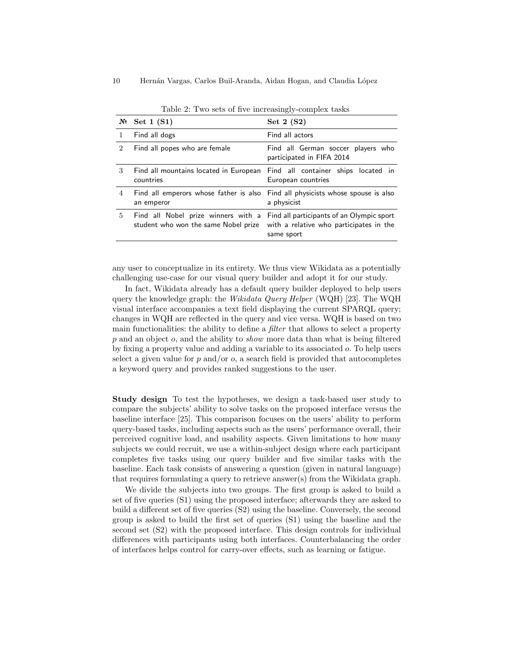<span id="page-9-0"></span>

| Nº                          | Set $1(S1)$                                                                 | Set $2(S2)$                                                                                        |  |  |
|-----------------------------|-----------------------------------------------------------------------------|----------------------------------------------------------------------------------------------------|--|--|
| 1                           | Find all dogs                                                               | Find all actors                                                                                    |  |  |
| $\mathcal{D}_{\mathcal{L}}$ | Find all popes who are female                                               | Find all German soccer players who<br>participated in FIFA 2014                                    |  |  |
| 3                           | countries                                                                   | Find all mountains located in European Find all container ships located in<br>European countries   |  |  |
| 4                           | an emperor                                                                  | Find all emperors whose father is also Find all physicists whose spouse is also<br>a physicist     |  |  |
| 5                           | Find all Nobel prize winners with a<br>student who won the same Nobel prize | Find all participants of an Olympic sport<br>with a relative who participates in the<br>same sport |  |  |

Table 2: Two sets of five increasingly-complex tasks

any user to conceptualize in its entirety. We thus view Wikidata as a potentially challenging use-case for our visual query builder and adopt it for our study.

In fact, Wikidata already has a default query builder deployed to help users query the knowledge graph: the *Wikidata Query Helper* (WQH) [\[23\]](#page-16-4). The WQH visual interface accompanies a text field displaying the current SPARQL query; changes in WQH are reflected in the query and vice versa. WQH is based on two main functionalities: the ability to define a filter that allows to select a property  $p$  and an object  $q$ , and the ability to *show* more data than what is being filtered by fixing a property value and adding a variable to its associated o. To help users select a given value for  $p$  and/or  $o$ , a search field is provided that autocompletes a keyword query and provides ranked suggestions to the user.

Study design To test the hypotheses, we design a task-based user study to compare the subjects' ability to solve tasks on the proposed interface versus the baseline interface [\[25\]](#page-16-15). This comparison focuses on the users' ability to perform query-based tasks, including aspects such as the users' performance overall, their perceived cognitive load, and usability aspects. Given limitations to how many subjects we could recruit, we use a within-subject design where each participant completes five tasks using our query builder and five similar tasks with the baseline. Each task consists of answering a question (given in natural language) that requires formulating a query to retrieve answer(s) from the Wikidata graph.

We divide the subjects into two groups. The first group is asked to build a set of five queries (S1) using the proposed interface; afterwards they are asked to build a different set of five queries (S2) using the baseline. Conversely, the second group is asked to build the first set of queries (S1) using the baseline and the second set (S2) with the proposed interface. This design controls for individual differences with participants using both interfaces. Counterbalancing the order of interfaces helps control for carry-over effects, such as learning or fatigue.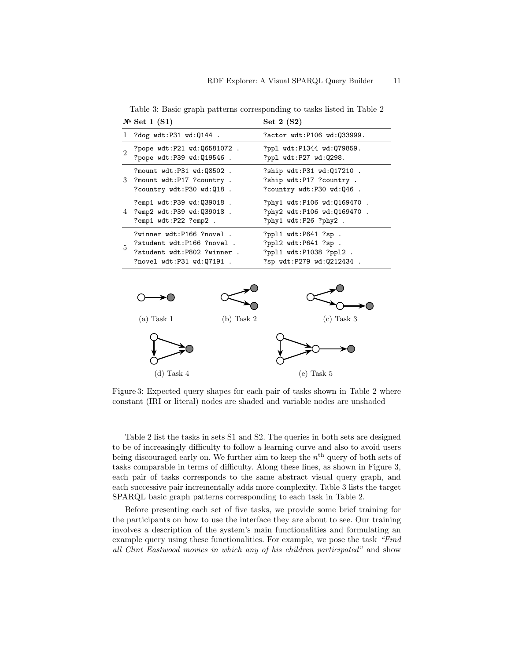<span id="page-10-1"></span>Table 3: Basic graph patterns corresponding to tasks listed in Table [2](#page-9-0)

|                   | $N_{\text{e}}$ Set 1 (S1)                                                                                       | Set $2(S2)$                                                                                         |
|-------------------|-----------------------------------------------------------------------------------------------------------------|-----------------------------------------------------------------------------------------------------|
| 1                 | ?dog wdt:P31 wd:Q144 .                                                                                          | ?actor wdt: P106 wd: Q33999.                                                                        |
| $\mathcal{D}_{1}$ | ?pope wdt:P21 wd:Q6581072.<br>?pope wdt:P39 wd:Q19546.                                                          | ?ppl wdt:P1344 wd:Q79859.<br>?ppl wdt:P27 wd:Q298.                                                  |
|                   | ?mount wdt:P31 wd:Q8502.<br>3 ?mount wdt:P17 ?country .<br>?country wdt:P30 wd:Q18.                             | $?$ ship wdt:P31 wd:Q17210.<br>?ship wdt:P17 ?country .<br>?country wdt:P30 wd:Q46.                 |
|                   | ?emp1 wdt:P39 wd:Q39018.<br>4 ?emp2 wdt:P39 wd:Q39018.<br>?emp1 wdt:P22 ?emp2.                                  | ?phy1 wdt:P106 wd:Q169470.<br>?phy2 wdt:P106 wd:Q169470.<br>?phy1 wdt:P26 ?phy2.                    |
| 5                 | ?winner wdt:P166 ?novel.<br>?student wdt:P166 ?novel.<br>?student wdt:P802 ?winner.<br>?novel wdt:P31 wd:Q7191. | ?ppl1 $wdt: P641$ ?sp.<br>?ppl2 wdt:P641 ?sp.<br>?ppl1 wdt:P1038 ?ppl2.<br>?sp wdt:P279 wd:Q212434. |

<span id="page-10-0"></span>

Figure 3: Expected query shapes for each pair of tasks shown in Table [2](#page-9-0) where constant (IRI or literal) nodes are shaded and variable nodes are unshaded

Table [2](#page-9-0) list the tasks in sets S1 and S2. The queries in both sets are designed to be of increasingly difficulty to follow a learning curve and also to avoid users being discouraged early on. We further aim to keep the  $n<sup>th</sup>$  query of both sets of tasks comparable in terms of difficulty. Along these lines, as shown in Figure [3,](#page-10-0) each pair of tasks corresponds to the same abstract visual query graph, and each successive pair incrementally adds more complexity. Table [3](#page-10-1) lists the target SPARQL basic graph patterns corresponding to each task in Table [2.](#page-9-0)

Before presenting each set of five tasks, we provide some brief training for the participants on how to use the interface they are about to see. Our training involves a description of the system's main functionalities and formulating an example query using these functionalities. For example, we pose the task "Find" all Clint Eastwood movies in which any of his children participated" and show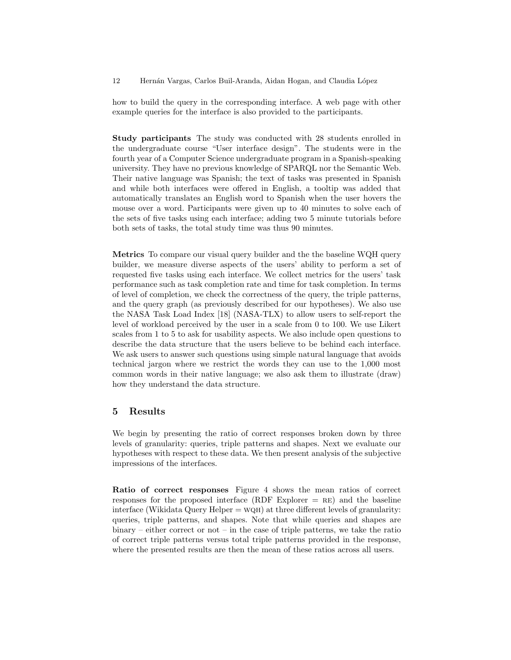how to build the query in the corresponding interface. A web page with other example queries for the interface is also provided to the participants.

Study participants The study was conducted with 28 students enrolled in the undergraduate course "User interface design". The students were in the fourth year of a Computer Science undergraduate program in a Spanish-speaking university. They have no previous knowledge of SPARQL nor the Semantic Web. Their native language was Spanish; the text of tasks was presented in Spanish and while both interfaces were offered in English, a tooltip was added that automatically translates an English word to Spanish when the user hovers the mouse over a word. Participants were given up to 40 minutes to solve each of the sets of five tasks using each interface; adding two 5 minute tutorials before both sets of tasks, the total study time was thus 90 minutes.

Metrics To compare our visual query builder and the the baseline WQH query builder, we measure diverse aspects of the users' ability to perform a set of requested five tasks using each interface. We collect metrics for the users' task performance such as task completion rate and time for task completion. In terms of level of completion, we check the correctness of the query, the triple patterns, and the query graph (as previously described for our hypotheses). We also use the NASA Task Load Index [\[18\]](#page-15-16) (NASA-TLX) to allow users to self-report the level of workload perceived by the user in a scale from 0 to 100. We use Likert scales from 1 to 5 to ask for usability aspects. We also include open questions to describe the data structure that the users believe to be behind each interface. We ask users to answer such questions using simple natural language that avoids technical jargon where we restrict the words they can use to the 1,000 most common words in their native language; we also ask them to illustrate (draw) how they understand the data structure.

### 5 Results

We begin by presenting the ratio of correct responses broken down by three levels of granularity: queries, triple patterns and shapes. Next we evaluate our hypotheses with respect to these data. We then present analysis of the subjective impressions of the interfaces.

Ratio of correct responses Figure [4](#page-12-0) shows the mean ratios of correct responses for the proposed interface (RDF Explorer  $=$  RE) and the baseline interface (Wikidata Query Helper  $=$  WQH) at three different levels of granularity: queries, triple patterns, and shapes. Note that while queries and shapes are binary – either correct or not – in the case of triple patterns, we take the ratio of correct triple patterns versus total triple patterns provided in the response, where the presented results are then the mean of these ratios across all users.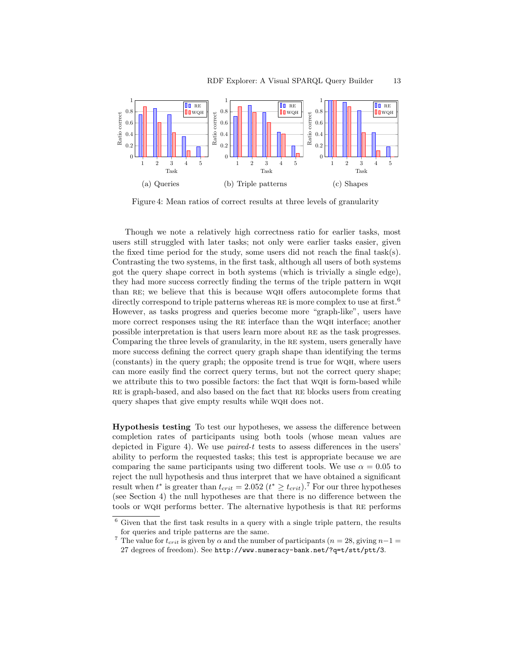<span id="page-12-0"></span>

Figure 4: Mean ratios of correct results at three levels of granularity

Though we note a relatively high correctness ratio for earlier tasks, most users still struggled with later tasks; not only were earlier tasks easier, given the fixed time period for the study, some users did not reach the final task(s). Contrasting the two systems, in the first task, although all users of both systems got the query shape correct in both systems (which is trivially a single edge), they had more success correctly finding the terms of the triple pattern in WQH than RE; we believe that this is because WQH offers autocomplete forms that directly correspond to triple patterns whereas RE is more complex to use at first.<sup>[6](#page-12-1)</sup> However, as tasks progress and queries become more "graph-like", users have more correct responses using the RE interface than the WQH interface; another possible interpretation is that users learn more about re as the task progresses. Comparing the three levels of granularity, in the re system, users generally have more success defining the correct query graph shape than identifying the terms (constants) in the query graph; the opposite trend is true for WQH, where users can more easily find the correct query terms, but not the correct query shape; we attribute this to two possible factors: the fact that WQH is form-based while re is graph-based, and also based on the fact that re blocks users from creating query shapes that give empty results while wqh does not.

Hypothesis testing To test our hypotheses, we assess the difference between completion rates of participants using both tools (whose mean values are depicted in Figure [4\)](#page-12-0). We use  $paired-t$  tests to assess differences in the users' ability to perform the requested tasks; this test is appropriate because we are comparing the same participants using two different tools. We use  $\alpha = 0.05$  to reject the null hypothesis and thus interpret that we have obtained a significant result when  $t^*$  is greater than  $t_{crit} = 2.052$   $(t^* \geq t_{crit})$ .<sup>[7](#page-12-2)</sup> For our three hypotheses (see Section [4\)](#page-7-1) the null hypotheses are that there is no difference between the tools or WQH performs better. The alternative hypothesis is that RE performs

<span id="page-12-1"></span> $6$  Given that the first task results in a query with a single triple pattern, the results for queries and triple patterns are the same.

<span id="page-12-2"></span><sup>&</sup>lt;sup>7</sup> The value for  $t_{crit}$  is given by  $\alpha$  and the number of participants (n = 28, giving n-1 = 27 degrees of freedom). See <http://www.numeracy-bank.net/?q=t/stt/ptt/3>.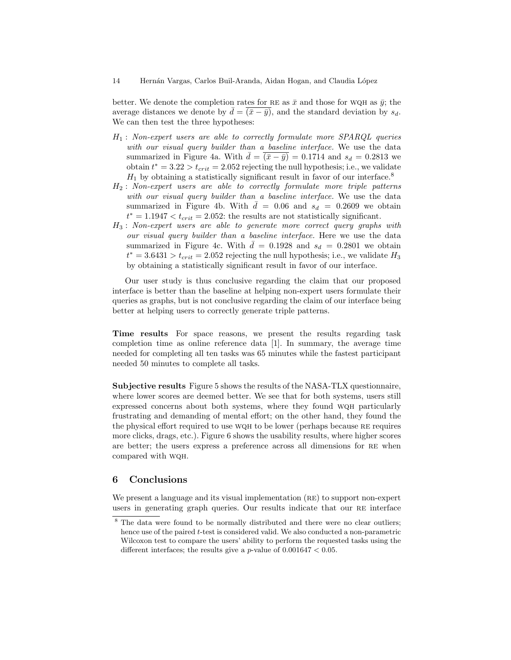better. We denote the completion rates for RE as  $\bar{x}$  and those for WQH as  $\bar{y}$ ; the average distances we denote by  $d = (\bar{x} - \bar{y})$ , and the standard deviation by  $s_d$ . We can then test the three hypotheses:

- $H_1$ : Non-expert users are able to correctly formulate more SPARQL queries with our visual query builder than a baseline interface. We use the data summarized in Figure [4a.](#page-12-0) With  $\bar{d} = (\bar{x} - \bar{y}) = 0.1714$  and  $s_d = 0.2813$  we obtain  $t^* = 3.22 > t_{crit} = 2.052$  rejecting the null hypothesis; i.e., we validate  $H_1$  by obtaining a statistically significant result in favor of our interface.<sup>[8](#page-13-0)</sup>
- $H_2$ : Non-expert users are able to correctly formulate more triple patterns with our visual query builder than a baseline interface. We use the data summarized in Figure [4b.](#page-12-0) With  $\bar{d} = 0.06$  and  $s_d = 0.2609$  we obtain  $t^* = 1.1947 < t_{crit} = 2.052$ : the results are not statistically significant.
- $H_3$ : Non-expert users are able to generate more correct query graphs with our visual query builder than a baseline interface. Here we use the data summarized in Figure [4c.](#page-12-0) With  $d = 0.1928$  and  $s_d = 0.2801$  we obtain  $t^* = 3.6431 > t_{crit} = 2.052$  rejecting the null hypothesis; i.e., we validate  $H_3$ by obtaining a statistically significant result in favor of our interface.

Our user study is thus conclusive regarding the claim that our proposed interface is better than the baseline at helping non-expert users formulate their queries as graphs, but is not conclusive regarding the claim of our interface being better at helping users to correctly generate triple patterns.

Time results For space reasons, we present the results regarding task completion time as online reference data [\[1\]](#page-14-2). In summary, the average time needed for completing all ten tasks was 65 minutes while the fastest participant needed 50 minutes to complete all tasks.

Subjective results Figure [5](#page-14-3) shows the results of the NASA-TLX questionnaire, where lower scores are deemed better. We see that for both systems, users still expressed concerns about both systems, where they found wQH particularly frustrating and demanding of mental effort; on the other hand, they found the the physical effort required to use wqh to be lower (perhaps because re requires more clicks, drags, etc.). Figure [6](#page-14-3) shows the usability results, where higher scores are better; the users express a preference across all dimensions for re when compared with wqh.

### 6 Conclusions

We present a language and its visual implementation (RE) to support non-expert users in generating graph queries. Our results indicate that our re interface

<span id="page-13-0"></span><sup>&</sup>lt;sup>8</sup> The data were found to be normally distributed and there were no clear outliers; hence use of the paired *t*-test is considered valid. We also conducted a non-parametric Wilcoxon test to compare the users' ability to perform the requested tasks using the different interfaces; the results give a  $p$ -value of  $0.001647 < 0.05$ .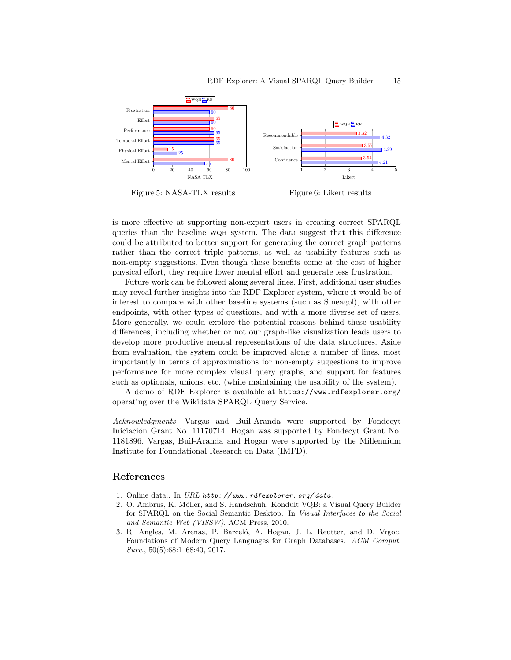<span id="page-14-3"></span>

Figure 5: NASA-TLX results



is more effective at supporting non-expert users in creating correct SPARQL queries than the baseline wqh system. The data suggest that this difference could be attributed to better support for generating the correct graph patterns rather than the correct triple patterns, as well as usability features such as non-empty suggestions. Even though these benefits come at the cost of higher physical effort, they require lower mental effort and generate less frustration.

Future work can be followed along several lines. First, additional user studies may reveal further insights into the RDF Explorer system, where it would be of interest to compare with other baseline systems (such as Smeagol), with other endpoints, with other types of questions, and with a more diverse set of users. More generally, we could explore the potential reasons behind these usability differences, including whether or not our graph-like visualization leads users to develop more productive mental representations of the data structures. Aside from evaluation, the system could be improved along a number of lines, most importantly in terms of approximations for non-empty suggestions to improve performance for more complex visual query graphs, and support for features such as optionals, unions, etc. (while maintaining the usability of the system).

A demo of RDF Explorer is available at <https://www.rdfexplorer.org/> operating over the Wikidata SPARQL Query Service.

Acknowledgments Vargas and Buil-Aranda were supported by Fondecyt Iniciación Grant No. 11170714. Hogan was supported by Fondecyt Grant No. 1181896. Vargas, Buil-Aranda and Hogan were supported by the Millennium Institute for Foundational Research on Data (IMFD).

## References

- <span id="page-14-2"></span>1. Online data:. In URL [http: // www. rdfexplorer. org/ data](http://www.rdfexplorer.org/data) .
- <span id="page-14-1"></span>2. O. Ambrus, K. Möller, and S. Handschuh. Konduit VQB: a Visual Query Builder for SPARQL on the Social Semantic Desktop. In Visual Interfaces to the Social and Semantic Web (VISSW). ACM Press, 2010.
- <span id="page-14-0"></span>3. R. Angles, M. Arenas, P. Barceló, A. Hogan, J. L. Reutter, and D. Vrgoc. Foundations of Modern Query Languages for Graph Databases. ACM Comput. Surv., 50(5):68:1–68:40, 2017.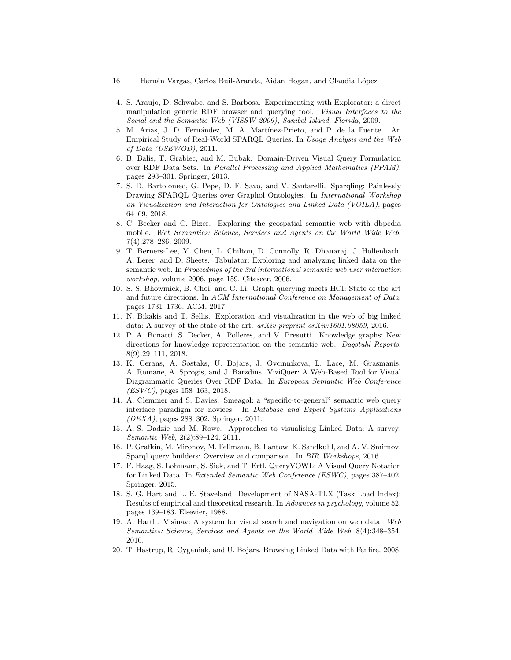- 16 Hernán Vargas, Carlos Buil-Aranda, Aidan Hogan, and Claudia López
- <span id="page-15-4"></span>4. S. Araujo, D. Schwabe, and S. Barbosa. Experimenting with Explorator: a direct manipulation generic RDF browser and querying tool. Visual Interfaces to the Social and the Semantic Web (VISSW 2009), Sanibel Island, Florida, 2009.
- <span id="page-15-15"></span>5. M. Arias, J. D. Fern´andez, M. A. Mart´ınez-Prieto, and P. de la Fuente. An Empirical Study of Real-World SPARQL Queries. In Usage Analysis and the Web of Data (USEWOD), 2011.
- <span id="page-15-13"></span>6. B. Balis, T. Grabiec, and M. Bubak. Domain-Driven Visual Query Formulation over RDF Data Sets. In Parallel Processing and Applied Mathematics (PPAM), pages 293–301. Springer, 2013.
- <span id="page-15-10"></span>7. S. D. Bartolomeo, G. Pepe, D. F. Savo, and V. Santarelli. Sparqling: Painlessly Drawing SPARQL Queries over Graphol Ontologies. In International Workshop on Visualization and Interaction for Ontologies and Linked Data (VOILA), pages 64–69, 2018.
- <span id="page-15-6"></span>8. C. Becker and C. Bizer. Exploring the geospatial semantic web with dbpedia mobile. Web Semantics: Science, Services and Agents on the World Wide Web, 7(4):278–286, 2009.
- <span id="page-15-3"></span>9. T. Berners-Lee, Y. Chen, L. Chilton, D. Connolly, R. Dhanaraj, J. Hollenbach, A. Lerer, and D. Sheets. Tabulator: Exploring and analyzing linked data on the semantic web. In Proceedings of the 3rd international semantic web user interaction workshop, volume 2006, page 159. Citeseer, 2006.
- <span id="page-15-12"></span>10. S. S. Bhowmick, B. Choi, and C. Li. Graph querying meets HCI: State of the art and future directions. In ACM International Conference on Management of Data, pages 1731–1736. ACM, 2017.
- <span id="page-15-2"></span>11. N. Bikakis and T. Sellis. Exploration and visualization in the web of big linked data: A survey of the state of the art. arXiv preprint arXiv:1601.08059, 2016.
- <span id="page-15-0"></span>12. P. A. Bonatti, S. Decker, A. Polleres, and V. Presutti. Knowledge graphs: New directions for knowledge representation on the semantic web. Dagstuhl Reports, 8(9):29–111, 2018.
- <span id="page-15-14"></span>13. K. Cerans, A. Sostaks, U. Bojars, J. Ovcinnikova, L. Lace, M. Grasmanis, A. Romane, A. Sprogis, and J. Barzdins. ViziQuer: A Web-Based Tool for Visual Diagrammatic Queries Over RDF Data. In European Semantic Web Conference  $(ESWC)$ , pages 158–163, 2018.
- <span id="page-15-11"></span>14. A. Clemmer and S. Davies. Smeagol: a "specific-to-general" semantic web query interface paradigm for novices. In Database and Expert Systems Applications (DEXA), pages 288–302. Springer, 2011.
- <span id="page-15-1"></span>15. A.-S. Dadzie and M. Rowe. Approaches to visualising Linked Data: A survey. Semantic Web, 2(2):89–124, 2011.
- <span id="page-15-8"></span>16. P. Grafkin, M. Mironov, M. Fellmann, B. Lantow, K. Sandkuhl, and A. V. Smirnov. Sparql query builders: Overview and comparison. In BIR Workshops, 2016.
- <span id="page-15-9"></span>17. F. Haag, S. Lohmann, S. Siek, and T. Ertl. QueryVOWL: A Visual Query Notation for Linked Data. In Extended Semantic Web Conference (ESWC), pages 387–402. Springer, 2015.
- <span id="page-15-16"></span>18. S. G. Hart and L. E. Staveland. Development of NASA-TLX (Task Load Index): Results of empirical and theoretical research. In Advances in psychology, volume 52, pages 139–183. Elsevier, 1988.
- <span id="page-15-5"></span>19. A. Harth. Visinav: A system for visual search and navigation on web data. Web Semantics: Science, Services and Agents on the World Wide Web, 8(4):348–354, 2010.
- <span id="page-15-7"></span>20. T. Hastrup, R. Cyganiak, and U. Bojars. Browsing Linked Data with Fenfire. 2008.